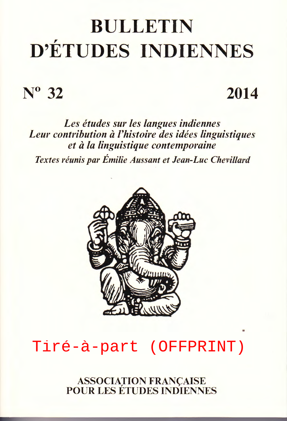# **BULLETIN** D'ÉTUDES INDIENNES

 $N^{\circ}$  32

2014

Les études sur les langues indiennes Leur contribution à l'histoire des idées linguistiques et à la linguistique contemporaine Textes réunis par Émilie Aussant et Jean-Luc Chevillard



Tiré-à-part (OFFPRINT)

ASSOCIATION FRANÇAISE<br>POUR LES ÉTUDES INDIENNES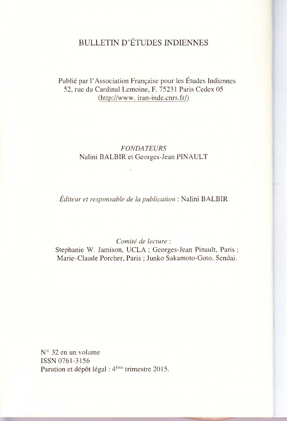# **BULLETIN D'ÉTUDES INDIENNES**

#### Publié par l'Association Française pour les Études Indiennes 52, rue du Cardinal Lemoine, F. 75231 Paris Cedex 05  $(http://www. iran-index.crrs.fr/)$

#### **FONDATEURS** Nalini BALBIR et Georges-Jean PINAULT

Éditeur et responsable de la publication : Nalini BALBIR

Comité de lecture :

Stephanie W. Jamison, UCLA; Georges-Jean Pinault, Paris; Marie-Claude Porcher, Paris ; Junko Sakamoto-Goto, Sendai.

 $N^{\circ}$  32 en un volume ISSN 0761-3156 Parution et dépôt légal : 4<sup>ème</sup> trimestre 2015.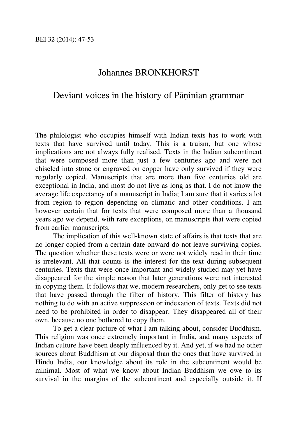# Johannes BRONKHORST

# Deviant voices in the history of Pāninian grammar

The philologist who occupies himself with Indian texts has to work with texts that have survived until today. This is a truism, but one whose implications are not always fully realised. Texts in the Indian subcontinent that were composed more than just a few centuries ago and were not chiseled into stone or engraved on copper have only survived if they were regularly copied. Manuscripts that are more than five centuries old are exceptional in India, and most do not live as long as that. I do not know the average life expectancy of a manuscript in India; I am sure that it varies a lot from region to region depending on climatic and other conditions. I am however certain that for texts that were composed more than a thousand years ago we depend, with rare exceptions, on manuscripts that were copied from earlier manuscripts.

The implication of this well-known state of affairs is that texts that are no longer copied from a certain date onward do not leave surviving copies. The question whether these texts were or were not widely read in their time is irrelevant. All that counts is the interest for the text during subsequent centuries. Texts that were once important and widely studied may yet have disappeared for the simple reason that later generations were not interested in copying them. It follows that we, modern researchers, only get to see texts that have passed through the filter of history. This filter of history has nothing to do with an active suppression or indexation of texts. Texts did not need to be prohibited in order to disappear. They disappeared all of their own, because no one bothered to copy them.

To get a clear picture of what I am talking about, consider Buddhism. This religion was once extremely important in India, and many aspects of Indian culture have been deeply influenced by it. And yet, if we had no other sources about Buddhism at our disposal than the ones that have survived in Hindu India, our knowledge about its role in the subcontinent would be minimal. Most of what we know about Indian Buddhism we owe to its survival in the margins of the subcontinent and especially outside it. If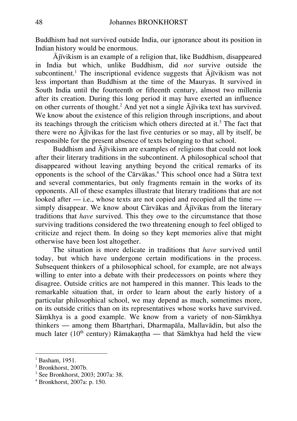Buddhism had not survived outside India, our ignorance about its position in Indian history would be enormous.

Ājīvikism is an example of a religion that, like Buddhism, disappeared in India but which, unlike Buddhism, did *not* survive outside the subcontinent.<sup>1</sup> The inscriptional evidence suggests that  $\overline{A}$  jīvikism was not less important than Buddhism at the time of the Mauryas. It survived in South India until the fourteenth or fifteenth century, almost two millenia after its creation. During this long period it may have exerted an influence on other currents of thought.<sup>2</sup> And yet not a single  $\overline{A}$  jūvika text has survived. We know about the existence of this religion through inscriptions, and about its teachings through the criticism which others directed at it.<sup>3</sup> The fact that there were no Ājīvikas for the last five centuries or so may, all by itself, be responsible for the present absence of texts belonging to that school.

Buddhism and Ājīvikism are examples of religions that could not look after their literary traditions in the subcontinent. A philosophical school that disappeared without leaving anything beyond the critical remarks of its opponents is the school of the Cārvākas.4 This school once had a Sūtra text and several commentaries, but only fragments remain in the works of its opponents. All of these examples illustrate that literary traditions that are not looked after — i.e., whose texts are not copied and recopied all the time simply disappear. We know about Cārvākas and Ājīvikas from the literary traditions that *have* survived. This they owe to the circumstance that those surviving traditions considered the two threatening enough to feel obliged to criticize and reject them. In doing so they kept memories alive that might otherwise have been lost altogether.

The situation is more delicate in traditions that *have* survived until today, but which have undergone certain modifications in the process. Subsequent thinkers of a philosophical school, for example, are not always willing to enter into a debate with their predecessors on points where they disagree. Outside critics are not hampered in this manner. This leads to the remarkable situation that, in order to learn about the early history of a particular philosophical school, we may depend as much, sometimes more, on its outside critics than on its representatives whose works have survived. Sāṃkhya is a good example. We know from a variety of non-Sāṃkhya thinkers — among them Bhartrhari, Dharmapāla, Mallavādin, but also the much later (10<sup>th</sup> century) Rāmakaṇṭha — that Sāmkhya had held the view

 $<sup>1</sup>$  Basham, 1951.</sup>

<sup>2</sup> Bronkhorst, 2007b.

<sup>3</sup> See Bronkhorst, 2003; 2007a: 38.

<sup>4</sup> Bronkhorst, 2007a: p. 150.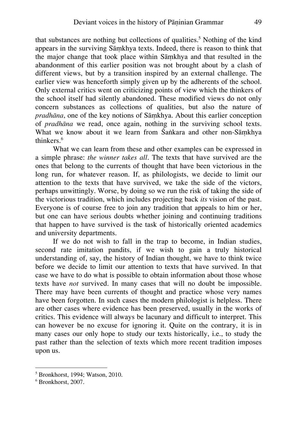that substances are nothing but collections of qualities.5 Nothing of the kind appears in the surviving Sāṃkhya texts. Indeed, there is reason to think that the major change that took place within Sāṃkhya and that resulted in the abandonment of this earlier position was not brought about by a clash of different views, but by a transition inspired by an external challenge. The earlier view was henceforth simply given up by the adherents of the school. Only external critics went on criticizing points of view which the thinkers of the school itself had silently abandoned. These modified views do not only concern substances as collections of qualities, but also the nature of *pradhāna*, one of the key notions of Sāṃkhya. About this earlier conception of *pradhāna* we read, once again, nothing in the surviving school texts. What we know about it we learn from Śaṅkara and other non-Sāṃkhya thinkers<sup>6</sup>

What we can learn from these and other examples can be expressed in a simple phrase: *the winner takes all*. The texts that have survived are the ones that belong to the currents of thought that have been victorious in the long run, for whatever reason. If, as philologists, we decide to limit our attention to the texts that have survived, we take the side of the victors, perhaps unwittingly. Worse, by doing so we run the risk of taking the side of the victorious tradition, which includes projecting back *its* vision of the past. Everyone is of course free to join any tradition that appeals to him or her, but one can have serious doubts whether joining and continuing traditions that happen to have survived is the task of historically oriented academics and university departments.

If we do not wish to fall in the trap to become, in Indian studies, second rate imitation pandits, if we wish to gain a truly historical understanding of, say, the history of Indian thought, we have to think twice before we decide to limit our attention to texts that have survived. In that case we have to do what is possible to obtain information about those whose texts have *not* survived. In many cases that will no doubt be impossible. There may have been currents of thought and practice whose very names have been forgotten. In such cases the modern philologist is helpless. There are other cases where evidence has been preserved, usually in the works of critics. This evidence will always be lacunary and difficult to interpret. This can however be no excuse for ignoring it. Quite on the contrary, it is in many cases our only hope to study our texts historically, i.e., to study the past rather than the selection of texts which more recent tradition imposes upon us.

 $<sup>5</sup>$  Bronkhorst, 1994; Watson, 2010.</sup>

 $6$  Bronkhorst, 2007.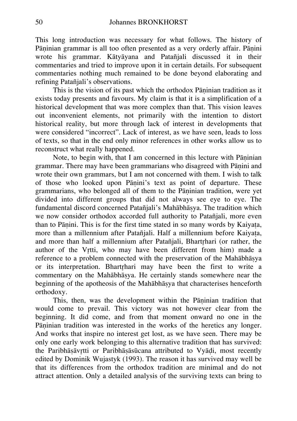This long introduction was necessary for what follows. The history of Pāninian grammar is all too often presented as a very orderly affair. Pānini wrote his grammar. Kātyāyana and Patañjali discussed it in their commentaries and tried to improve upon it in certain details. For subsequent commentaries nothing much remained to be done beyond elaborating and refining Patañjali's observations.

This is the vision of its past which the orthodox Pāninian tradition as it exists today presents and favours. My claim is that it is a simplification of a historical development that was more complex than that. This vision leaves out inconvenient elements, not primarily with the intention to distort historical reality, but more through lack of interest in developments that were considered "incorrect". Lack of interest, as we have seen, leads to loss of texts, so that in the end only minor references in other works allow us to reconstruct what really happened.

Note, to begin with, that I am concerned in this lecture with Pāṇinian grammar. There may have been grammarians who disagreed with Pāṇini and wrote their own grammars, but I am not concerned with them. I wish to talk of those who looked upon Pāṇini's text as point of departure. These grammarians, who belonged all of them to the Pāninian tradition, were yet divided into different groups that did not always see eye to eye. The fundamental discord concerned Patañjali's Mahābhāṣya. The tradition which we now consider orthodox accorded full authority to Patañjali, more even than to Pānini. This is for the first time stated in so many words by Kaiyata, more than a millennium after Patañjali. Half a millennium before Kaiyata, and more than half a millennium after Patañjali, Bhartrhari (or rather, the author of the Vrtti, who may have been different from him) made a reference to a problem connected with the preservation of the Mahābhāṣya or its interpretation. Bhartr̥hari may have been the first to write a commentary on the Mahābhāṣya. He certainly stands somewhere near the beginning of the apotheosis of the Mahābhāṣya that characterises henceforth orthodoxy.

This, then, was the development within the Pāninian tradition that would come to prevail. This victory was not however clear from the beginning. It did come, and from that moment onward no one in the Pāṇinian tradition was interested in the works of the heretics any longer. And works that inspire no interest get lost, as we have seen. There may be only one early work belonging to this alternative tradition that has survived: the Paribhāṣāvr̥tti or Paribhāṣāsūcana attributed to Vyāḍi, most recently edited by Dominik Wujastyk (1993). The reason it has survived may well be that its differences from the orthodox tradition are minimal and do not attract attention. Only a detailed analysis of the surviving texts can bring to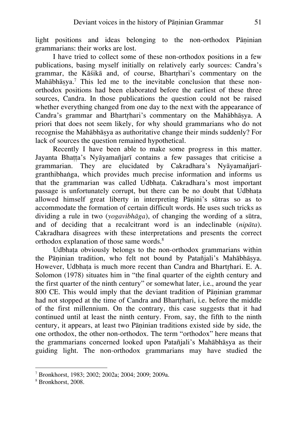light positions and ideas belonging to the non-orthodox Pāninian grammarians: their works are lost.

I have tried to collect some of these non-orthodox positions in a few publications, basing myself initially on relatively early sources: Candra's grammar, the Kāśikā and, of course, Bhartrhari's commentary on the Mahābhāsya.<sup>7</sup> This led me to the inevitable conclusion that these nonorthodox positions had been elaborated before the earliest of these three sources, Candra. In those publications the question could not be raised whether everything changed from one day to the next with the appearance of Candra's grammar and Bhartrhari's commentary on the Mahābhāsya. A priori that does not seem likely, for why should grammarians who do not recognise the Mahābhāṣya as authoritative change their minds suddenly? For lack of sources the question remained hypothetical.

Recently I have been able to make some progress in this matter. Jayanta Bhatta's Nyāyamañjarī contains a few passages that criticise a grammarian. They are elucidated by Cakradhara's Nyāyamañjarīgranthibhaṅga, which provides much precise information and informs us that the grammarian was called Udbhaṭa. Cakradhara's most important passage is unfortunately corrupt, but there can be no doubt that Udbhata allowed himself great liberty in interpreting Pānini's sūtras so as to accommodate the formation of certain difficult words. He uses such tricks as dividing a rule in two (*yogavibhāga*), of changing the wording of a sūtra, and of deciding that a recalcitrant word is an indeclinable (*nipāta*). Cakradhara disagrees with these interpretations and presents the correct orthodox explanation of those same words.<sup>8</sup>

Udbhaṭa obviously belongs to the non-orthodox grammarians within the Pāṇinian tradition, who felt not bound by Patañjali's Mahābhāṣya. However, Udbhata is much more recent than Candra and Bhartrhari. E. A. Solomon (1978) situates him in "the final quarter of the eighth century and the first quarter of the ninth century" or somewhat later, i.e., around the year 800 CE. This would imply that the deviant tradition of Pāninian grammar had not stopped at the time of Candra and Bhartrhari, i.e. before the middle of the first millennium. On the contrary, this case suggests that it had continued until at least the ninth century. From, say, the fifth to the ninth century, it appears, at least two Pāṇinian traditions existed side by side, the one orthodox, the other non-orthodox. The term "orthodox" here means that the grammarians concerned looked upon Patañjali's Mahābhāṣya as their guiding light. The non-orthodox grammarians may have studied the

<sup>7</sup> Bronkhorst, 1983; 2002; 2002a; 2004; 2009; 2009a.

<sup>8</sup> Bronkhorst, 2008.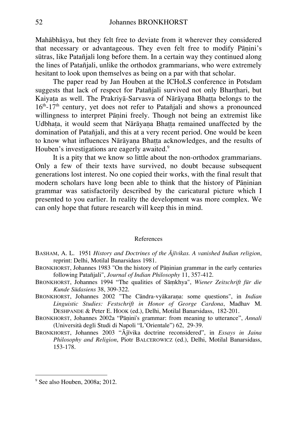Mahābhāṣya, but they felt free to deviate from it wherever they considered that necessary or advantageous. They even felt free to modify Pāṇini's sūtras, like Patañjali long before them. In a certain way they continued along the lines of Patañjali, unlike the orthodox grammarians, who were extremely hesitant to look upon themselves as being on a par with that scholar.

The paper read by Jan Houben at the ICHoLS conference in Potsdam suggests that lack of respect for Patañjali survived not only Bharthari, but Kaiyata as well. The Prakriyā-Sarvasva of Nārāyana Bhatta belongs to the  $16<sup>th</sup>$ -17<sup>th</sup> century, yet does not refer to Patañjali and shows a pronounced willingness to interpret Pānini freely. Though not being an extremist like Udbhata, it would seem that Nārāyana Bhatta remained unaffected by the domination of Patañjali, and this at a very recent period. One would be keen to know what influences Nārāyana Bhatta acknowledges, and the results of Houben's investigations are eagerly awaited.<sup>9</sup>

It is a pity that we know so little about the non-orthodox grammarians. Only a few of their texts have survived, no doubt because subsequent generations lost interest. No one copied their works, with the final result that modern scholars have long been able to think that the history of Pāninian grammar was satisfactorily described by the caricatural picture which I presented to you earlier. In reality the development was more complex. We can only hope that future research will keep this in mind.

### References

- BASHAM, A. L. 1951 *History and Doctrines of the Ājīvikas. A vanished Indian religion*, reprint: Delhi, Motilal Banarsidass 1981.
- BRONKHORST, Johannes 1983 "On the history of Pāninian grammar in the early centuries following Patañjali", *Journal of Indian Philosophy* 11, 357-412.
- BRONKHORST, Johannes 1994 "The qualities of Sāṃkhya", *Wiener Zeitschrift für die Kunde Südasiens* 38, 309-322.
- BRONKHORST, Johannes 2002 "The Cāndra-vyākaraṇa: some questions", in *Indian Linguistic Studies: Festschrift in Honor of George Cardona*, Madhav M. DESHPANDE & Peter E. HOOK (ed.), Delhi, Motilal Banarsidass, 182-201.
- BRONKHORST, Johannes 2002a "Pāṇini's grammar: from meaning to utterance", *Annali* (Università degli Studi di Napoli "L'Orientale") 62, 29-39.
- BRONKHORST, Johannes 2003 "Ājīvika doctrine reconsidered", in *Essays in Jaina Philosophy and Religion*, Piotr BALCEROWICZ (ed.), Delhi, Motilal Banarsidass, 153-178.

 $9$  See also Houben, 2008a; 2012.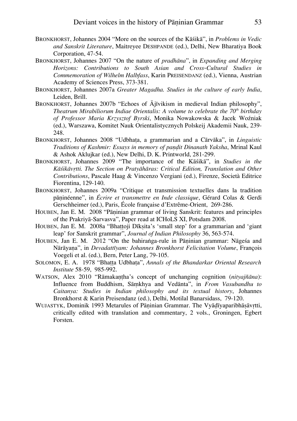- BRONKHORST, Johannes 2004 "More on the sources of the Kāśikā", in *Problems in Vedic and Sanskrit Literature*, Maitreyee DESHPANDE (ed.), Delhi, New Bharatiya Book Corporation, 47-54.
- BRONKHORST, Johannes 2007 "On the nature of *pradhāna*", in *Expanding and Merging Horizons: Contributions to South Asian and Cross-Cultural Studies in Commemoration of Wilhelm Halbfass*, Karin PREISENDANZ (ed.), Vienna, Austrian Academy of Sciences Press, 373-381.
- BRONKHORST, Johannes 2007a *Greater Magadha. Studies in the culture of early India*, Leiden, Brill.
- BRONKHORST, Johannes 2007b "Echoes of Ājīvikism in medieval Indian philosophy", *Theatrum Mirabiliorum Indiae Orientalis: A volume to celebrate the 70<sup>th</sup> birthday of Professor Maria Krzysztof Byrski*, Monika Nowakowska & Jacek Woźniak (ed.), Warszawa, Komitet Nauk Orientalistycznych Polskeij Akademii Nauk, 239- 248.
- BRONKHORST, Johannes 2008 "Udbhata, a grammarian and a Cārvāka", in *Linguistic Traditions of Kashmir: Essays in memory of pandit Dinanath Yaksha, Mrinal Kaul* & Ashok Aklujkar (ed.), New Delhi, D. K. Printworld, 281-299.
- BRONKHORST, Johannes 2009 "The importance of the Kāśikā", in *Studies in the Kāśikāvṛtti. The Section on Pratyāhāras: Critical Edition, Translation and Other Contributions*, Pascale Haag & Vincenzo Vergiani (ed.), Firenze, Società Editrice Fiorentina, 129-140.
- BRONKHORST, Johannes 2009a "Critique et transmission textuelles dans la tradition pāṇinéenne", in *Écrire et transmettre en Inde classique*, Gérard Colas & Gerdi Gerschheimer (ed.), Paris, École française d'Extrême-Orient, 269-286.
- HOUBEN, Jan E. M. 2008 "Pāṇinian grammar of living Sanskrit: features and principles of the Prakriyā-Sarvasva", Paper read at ICHoLS XI, Potsdam 2008.
- HOUBEN, Jan E. M. 2008a "Bhattoji Dīksita's 'small step' for a grammarian and 'giant leap' for Sanskrit grammar", *Journal of Indian Philosophy* 36, 563-574.
- HOUBEN, Jan E. M. 2012 "On the bahiranga-rule in Pāninian grammar: Nāgesa and Nārāyaṇa", in *Devadattīyam: Johannes Bronkhorst Felicitation Volume*, François Voegeli et al. (ed.), Bern, Peter Lang, 79-105.
- SOLOMON, E. A. 1978 "Bhaṭṭa Udbhaṭa", *Annals of the Bhandarkar Oriental Research Institute* 58-59, 985-992.
- WATSON, Alex 2010 "Rāmakaṇṭha's concept of unchanging cognition (*nityajñāna*): Influence from Buddhism, Sāṃkhya and Vedānta", in *From Vasubandhu to Caitanya: Studies in Indian philosophy and its textual history*, Johannes Bronkhorst & Karin Preisendanz (ed.), Delhi, Motilal Banarsidass, 79-120.
- WUJASTYK, Dominik 1993 Metarules of Pāninian Grammar. The Vyādīyaparibhāsāvrtti, critically edited with translation and commentary, 2 vols., Groningen, Egbert Forsten.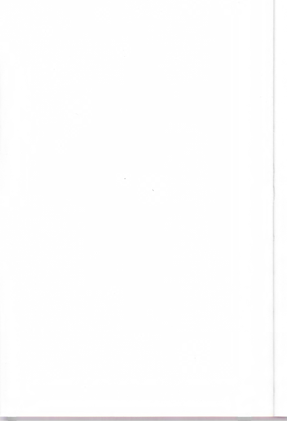